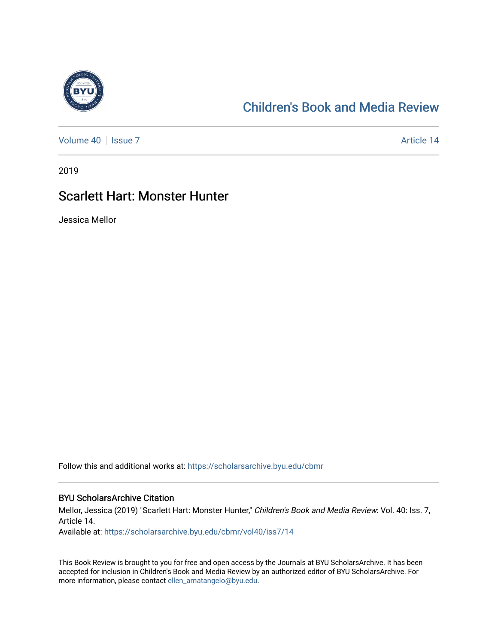

## [Children's Book and Media Review](https://scholarsarchive.byu.edu/cbmr)

[Volume 40](https://scholarsarchive.byu.edu/cbmr/vol40) | [Issue 7](https://scholarsarchive.byu.edu/cbmr/vol40/iss7) Article 14

2019

### Scarlett Hart: Monster Hunter

Jessica Mellor

Follow this and additional works at: [https://scholarsarchive.byu.edu/cbmr](https://scholarsarchive.byu.edu/cbmr?utm_source=scholarsarchive.byu.edu%2Fcbmr%2Fvol40%2Fiss7%2F14&utm_medium=PDF&utm_campaign=PDFCoverPages) 

#### BYU ScholarsArchive Citation

Mellor, Jessica (2019) "Scarlett Hart: Monster Hunter," Children's Book and Media Review: Vol. 40: Iss. 7, Article 14.

Available at: [https://scholarsarchive.byu.edu/cbmr/vol40/iss7/14](https://scholarsarchive.byu.edu/cbmr/vol40/iss7/14?utm_source=scholarsarchive.byu.edu%2Fcbmr%2Fvol40%2Fiss7%2F14&utm_medium=PDF&utm_campaign=PDFCoverPages)

This Book Review is brought to you for free and open access by the Journals at BYU ScholarsArchive. It has been accepted for inclusion in Children's Book and Media Review by an authorized editor of BYU ScholarsArchive. For more information, please contact [ellen\\_amatangelo@byu.edu.](mailto:ellen_amatangelo@byu.edu)